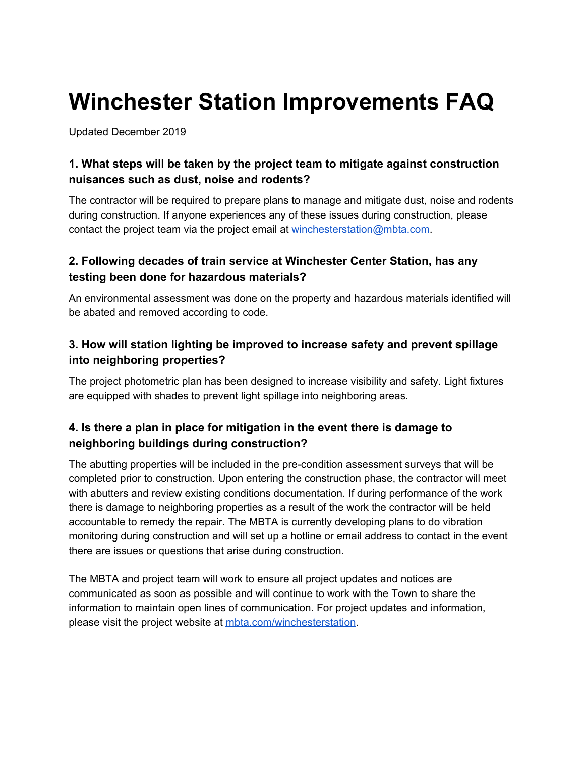# **Winchester Station Improvements FAQ**

Updated December 2019

# **1. What steps will be taken by the project team to mitigate against construction nuisances such as dust, noise and rodents?**

 The contractor will be required to prepare plans to manage and mitigate dust, noise and rodents during construction. If anyone experiences any of these issues during construction, please contact the project team via the project email at [winchesterstation@mbta.com.](mailto:winchesterstation@mbta.com)

# **2. Following decades of train service at Winchester Center Station, has any testing been done for hazardous materials?**

 An environmental assessment was done on the property and hazardous materials identified will be abated and removed according to code.

### **3. How will station lighting be improved to increase safety and prevent spillage into neighboring properties?**

 The project photometric plan has been designed to increase visibility and safety. Light fixtures are equipped with shades to prevent light spillage into neighboring areas.

# **4. Is there a plan in place for mitigation in the event there is damage to neighboring buildings during construction?**

 The abutting properties will be included in the pre-condition assessment surveys that will be completed prior to construction. Upon entering the construction phase, the contractor will meet with abutters and review existing conditions documentation. If during performance of the work there is damage to neighboring properties as a result of the work the contractor will be held accountable to remedy the repair. The MBTA is currently developing plans to do vibration monitoring during construction and will set up a hotline or email address to contact in the event there are issues or questions that arise during construction.

 The MBTA and project team will work to ensure all project updates and notices are communicated as soon as possible and will continue to work with the Town to share the information to maintain open lines of communication. For project updates and information, please visit the project website at *mbta.com/winchesterstation*.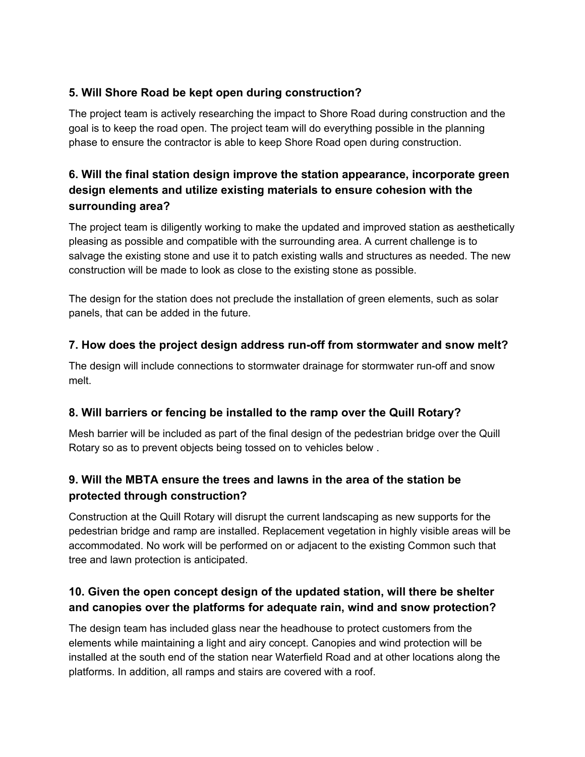### **5. Will Shore Road be kept open during construction?**

 The project team is actively researching the impact to Shore Road during construction and the goal is to keep the road open. The project team will do everything possible in the planning phase to ensure the contractor is able to keep Shore Road open during construction.

# **6. Will the final station design improve the station appearance, incorporate green design elements and utilize existing materials to ensure cohesion with the surrounding area?**

 The project team is diligently working to make the updated and improved station as aesthetically pleasing as possible and compatible with the surrounding area. A current challenge is to salvage the existing stone and use it to patch existing walls and structures as needed. The new construction will be made to look as close to the existing stone as possible.

 The design for the station does not preclude the installation of green elements, such as solar panels, that can be added in the future.

#### **7. How does the project design address run-off from stormwater and snow melt?**

 The design will include connections to stormwater drainage for stormwater run-off and snow melt.

# **8. Will barriers or fencing be installed to the ramp over the Quill Rotary?**

 Mesh barrier will be included as part of the final design of the pedestrian bridge over the Quill Rotary so as to prevent objects being tossed on to vehicles below .

# **9. Will the MBTA ensure the trees and lawns in the area of the station be protected through construction?**

 Construction at the Quill Rotary will disrupt the current landscaping as new supports for the pedestrian bridge and ramp are installed. Replacement vegetation in highly visible areas will be accommodated. No work will be performed on or adjacent to the existing Common such that tree and lawn protection is anticipated.

# **10. Given the open concept design of the updated station, will there be shelter and canopies over the platforms for adequate rain, wind and snow protection?**

 The design team has included glass near the headhouse to protect customers from the elements while maintaining a light and airy concept. Canopies and wind protection will be installed at the south end of the station near Waterfield Road and at other locations along the platforms. In addition, all ramps and stairs are covered with a roof.